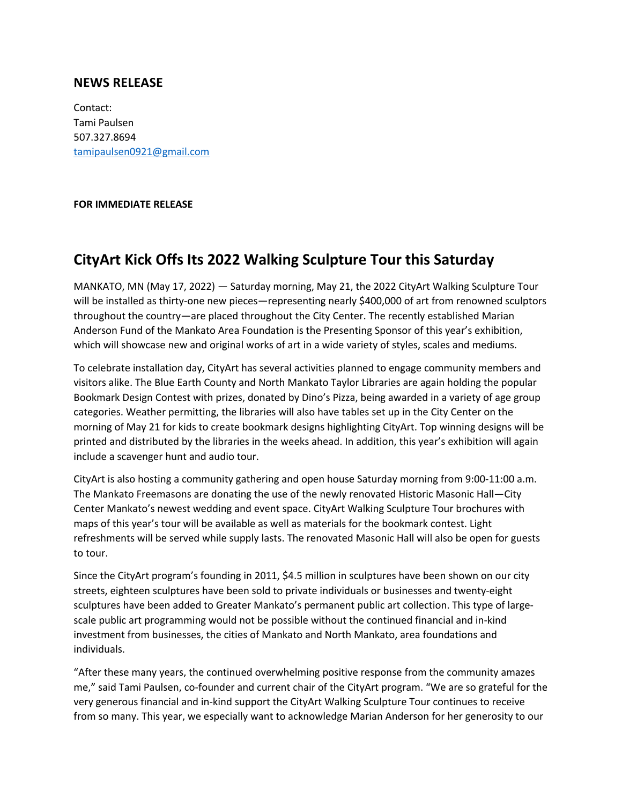## **NEWS RELEASE**

Contact: Tami Paulsen 507.327.8694 tamipaulsen0921@gmail.com

## **FOR IMMEDIATE RELEASE**

## **CityArt Kick Offs Its 2022 Walking Sculpture Tour this Saturday**

MANKATO, MN (May 17, 2022) — Saturday morning, May 21, the 2022 CityArt Walking Sculpture Tour will be installed as thirty-one new pieces—representing nearly \$400,000 of art from renowned sculptors throughout the country—are placed throughout the City Center. The recently established Marian Anderson Fund of the Mankato Area Foundation is the Presenting Sponsor of this year's exhibition, which will showcase new and original works of art in a wide variety of styles, scales and mediums.

To celebrate installation day, CityArt has several activities planned to engage community members and visitors alike. The Blue Earth County and North Mankato Taylor Libraries are again holding the popular Bookmark Design Contest with prizes, donated by Dino's Pizza, being awarded in a variety of age group categories. Weather permitting, the libraries will also have tables set up in the City Center on the morning of May 21 for kids to create bookmark designs highlighting CityArt. Top winning designs will be printed and distributed by the libraries in the weeks ahead. In addition, this year's exhibition will again include a scavenger hunt and audio tour.

CityArt is also hosting a community gathering and open house Saturday morning from 9:00-11:00 a.m. The Mankato Freemasons are donating the use of the newly renovated Historic Masonic Hall—City Center Mankato's newest wedding and event space. CityArt Walking Sculpture Tour brochures with maps of this year's tour will be available as well as materials for the bookmark contest. Light refreshments will be served while supply lasts. The renovated Masonic Hall will also be open for guests to tour.

Since the CityArt program's founding in 2011, \$4.5 million in sculptures have been shown on our city streets, eighteen sculptures have been sold to private individuals or businesses and twenty-eight sculptures have been added to Greater Mankato's permanent public art collection. This type of largescale public art programming would not be possible without the continued financial and in-kind investment from businesses, the cities of Mankato and North Mankato, area foundations and individuals.

"After these many years, the continued overwhelming positive response from the community amazes me," said Tami Paulsen, co-founder and current chair of the CityArt program. "We are so grateful for the very generous financial and in-kind support the CityArt Walking Sculpture Tour continues to receive from so many. This year, we especially want to acknowledge Marian Anderson for her generosity to our